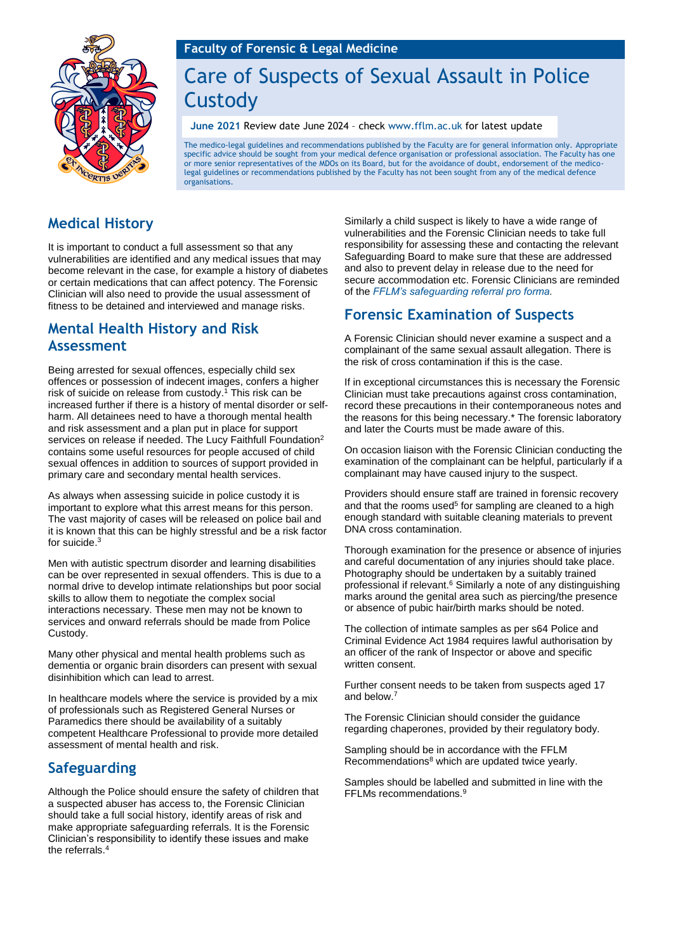

# Care of Suspects of Sexual Assault in Police Custody

**June 2021** Review date June 2024 – check [www.fflm.ac.uk](http://www.fflm.ac.uk/) for latest update

The medico-legal guidelines and recommendations published by the Faculty are for general information only. Appropriate specific advice should be sought from your medical defence organisation or professional association. The Faculty has one or more senior representatives of the MDOs on its Board, but for the avoidance of doubt, endorsement of the medicolegal guidelines or recommendations published by the Faculty has not been sought from any of the medical defence organisations.

# **Medical History**

It is important to conduct a full assessment so that any vulnerabilities are identified and any medical issues that may become relevant in the case, for example a history of diabetes or certain medications that can affect potency. The Forensic Clinician will also need to provide the usual assessment of fitness to be detained and interviewed and manage risks.

## **Mental Health History and Risk Assessment**

Being arrested for sexual offences, especially child sex offences or possession of indecent images, confers a higher risk of suicide on release from custody. <sup>1</sup> This risk can be increased further if there is a history of mental disorder or selfharm. All detainees need to have a thorough mental health and risk assessment and a plan put in place for support services on release if needed. The Lucy Faithfull Foundation<sup>2</sup> contains some useful resources for people accused of child sexual offences in addition to sources of support provided in primary care and secondary mental health services.

As always when assessing suicide in police custody it is important to explore what this arrest means for this person. The vast majority of cases will be released on police bail and it is known that this can be highly stressful and be a risk factor for suicide. 3

Men with autistic spectrum disorder and learning disabilities can be over represented in sexual offenders. This is due to a normal drive to develop intimate relationships but poor social skills to allow them to negotiate the complex social interactions necessary. These men may not be known to services and onward referrals should be made from Police Custody.

Many other physical and mental health problems such as dementia or organic brain disorders can present with sexual disinhibition which can lead to arrest.

In healthcare models where the service is provided by a mix of professionals such as Registered General Nurses or Paramedics there should be availability of a suitably competent Healthcare Professional to provide more detailed assessment of mental health and risk.

#### **Safeguarding**

Although the Police should ensure the safety of children that a suspected abuser has access to, the Forensic Clinician should take a full social history, identify areas of risk and make appropriate safeguarding referrals. It is the Forensic Clinician's responsibility to identify these issues and make the referrals. 4

Similarly a child suspect is likely to have a wide range of vulnerabilities and the Forensic Clinician needs to take full responsibility for assessing these and contacting the relevant Safeguarding Board to make sure that these are addressed and also to prevent delay in release due to the need for secure accommodation etc. Forensic Clinicians are reminded of the *[FFLM's safeguarding referral pro forma.](https://fflm.ac.uk/resources/publications/proforma-child-safeguarding-summary-referral/)*

# **Forensic Examination of Suspects**

A Forensic Clinician should never examine a suspect and a complainant of the same sexual assault allegation. There is the risk of cross contamination if this is the case.

If in exceptional circumstances this is necessary the Forensic Clinician must take precautions against cross contamination, record these precautions in their contemporaneous notes and the reasons for this being necessary.\* The forensic laboratory and later the Courts must be made aware of this.

On occasion liaison with the Forensic Clinician conducting the examination of the complainant can be helpful, particularly if a complainant may have caused injury to the suspect.

Providers should ensure staff are trained in forensic recovery and that the rooms used<sup>5</sup> for sampling are cleaned to a high enough standard with suitable cleaning materials to prevent DNA cross contamination.

Thorough examination for the presence or absence of injuries and careful documentation of any injuries should take place. Photography should be undertaken by a suitably trained professional if relevant. <sup>6</sup> Similarly a note of any distinguishing marks around the genital area such as piercing/the presence or absence of pubic hair/birth marks should be noted.

The collection of intimate samples as per s64 Police and Criminal Evidence Act 1984 requires lawful authorisation by an officer of the rank of Inspector or above and specific written consent.

Further consent needs to be taken from suspects aged 17 and below. 7

The Forensic Clinician should consider the guidance regarding chaperones, provided by their regulatory body.

Sampling should be in accordance with the FFLM Recommendations<sup>8</sup> which are updated twice yearly.

Samples should be labelled and submitted in line with the FFLMs recommendations.9